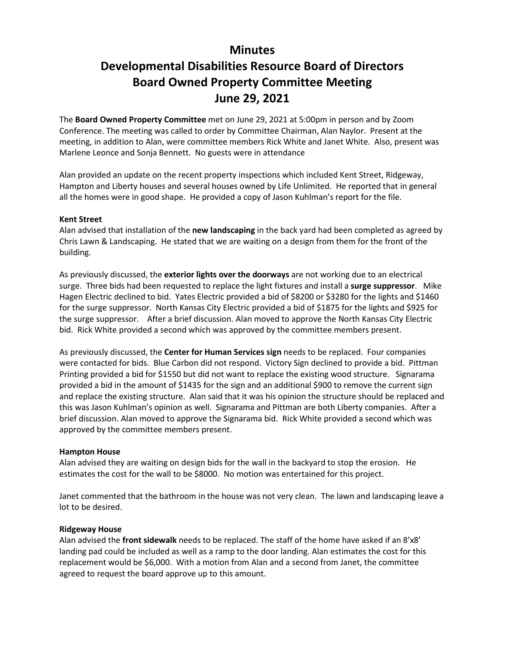## **Minutes**

# **Developmental Disabilities Resource Board of Directors Board Owned Property Committee Meeting June 29, 2021**

The **Board Owned Property Committee** met on June 29, 2021 at 5:00pm in person and by Zoom Conference. The meeting was called to order by Committee Chairman, Alan Naylor. Present at the meeting, in addition to Alan, were committee members Rick White and Janet White. Also, present was Marlene Leonce and Sonja Bennett. No guests were in attendance

Alan provided an update on the recent property inspections which included Kent Street, Ridgeway, Hampton and Liberty houses and several houses owned by Life Unlimited. He reported that in general all the homes were in good shape. He provided a copy of Jason Kuhlman's report for the file.

#### **Kent Street**

Alan advised that installation of the **new landscaping** in the back yard had been completed as agreed by Chris Lawn & Landscaping. He stated that we are waiting on a design from them for the front of the building.

As previously discussed, the **exterior lights over the doorways** are not working due to an electrical surge. Three bids had been requested to replace the light fixtures and install a **surge suppressor**. Mike Hagen Electric declined to bid. Yates Electric provided a bid of \$8200 or \$3280 for the lights and \$1460 for the surge suppressor. North Kansas City Electric provided a bid of \$1875 for the lights and \$925 for the surge suppressor. After a brief discussion. Alan moved to approve the North Kansas City Electric bid. Rick White provided a second which was approved by the committee members present.

As previously discussed, the **Center for Human Services sign** needs to be replaced. Four companies were contacted for bids. Blue Carbon did not respond. Victory Sign declined to provide a bid. Pittman Printing provided a bid for \$1550 but did not want to replace the existing wood structure. Signarama provided a bid in the amount of \$1435 for the sign and an additional \$900 to remove the current sign and replace the existing structure. Alan said that it was his opinion the structure should be replaced and this was Jason Kuhlman's opinion as well. Signarama and Pittman are both Liberty companies. After a brief discussion. Alan moved to approve the Signarama bid. Rick White provided a second which was approved by the committee members present.

### **Hampton House**

Alan advised they are waiting on design bids for the wall in the backyard to stop the erosion. He estimates the cost for the wall to be \$8000. No motion was entertained for this project.

Janet commented that the bathroom in the house was not very clean. The lawn and landscaping leave a lot to be desired.

### **Ridgeway House**

Alan advised the **front sidewalk** needs to be replaced. The staff of the home have asked if an 8'x8' landing pad could be included as well as a ramp to the door landing. Alan estimates the cost for this replacement would be \$6,000. With a motion from Alan and a second from Janet, the committee agreed to request the board approve up to this amount.